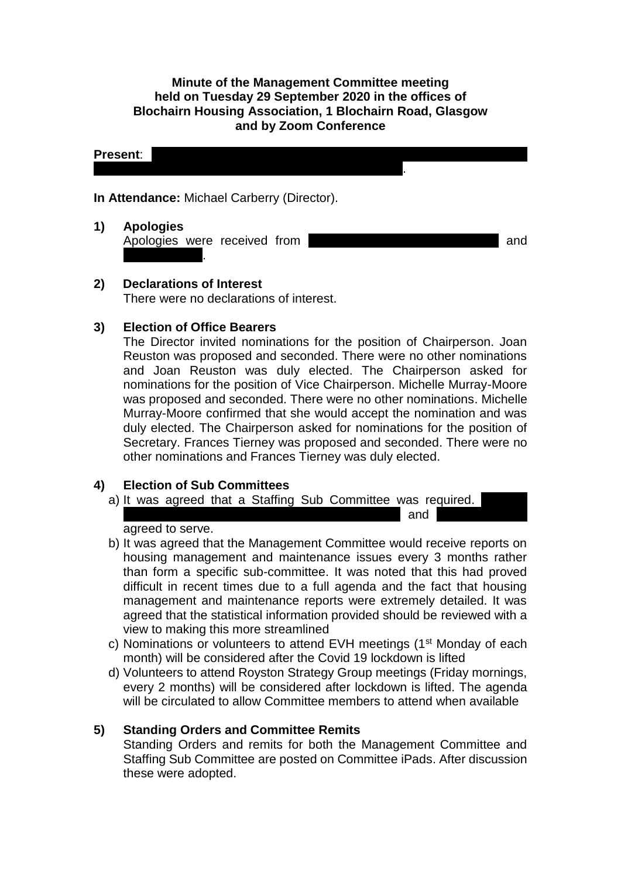**Minute of the Management Committee meeting held on Tuesday 29 September 2020 in the offices of Blochairn Housing Association, 1 Blochairn Road, Glasgow and by Zoom Conference**

**Present:**  $\vert$ Stephen; Frances Tierney; Olga Vassiljeva; Ewa Wojcik. **In Attendance:** Michael Carberry (Director). **1) Apologies**

Apologies were received from **Land Essexuary Chinacise** and Catherine Neil.

**2) Declarations of Interest** There were no declarations of interest.

## **3) Election of Office Bearers**

The Director invited nominations for the position of Chairperson. Joan Reuston was proposed and seconded. There were no other nominations and Joan Reuston was duly elected. The Chairperson asked for nominations for the position of Vice Chairperson. Michelle Murray-Moore was proposed and seconded. There were no other nominations. Michelle Murray-Moore confirmed that she would accept the nomination and was duly elected. The Chairperson asked for nominations for the position of Secretary. Frances Tierney was proposed and seconded. There were no other nominations and Frances Tierney was duly elected.

## **4) Election of Sub Committees**

a) It was agreed that a Staffing Sub Committee was required. Murray-Moore, Joan Reuston, Frances Tierney and Olga Vassilies Tierney and Olga Vassilies Tierney and Olga Vassi

agreed to serve.

- b) It was agreed that the Management Committee would receive reports on housing management and maintenance issues every 3 months rather than form a specific sub-committee. It was noted that this had proved difficult in recent times due to a full agenda and the fact that housing management and maintenance reports were extremely detailed. It was agreed that the statistical information provided should be reviewed with a view to making this more streamlined
- c) Nominations or volunteers to attend EVH meetings (1<sup>st</sup> Monday of each month) will be considered after the Covid 19 lockdown is lifted
- d) Volunteers to attend Royston Strategy Group meetings (Friday mornings, every 2 months) will be considered after lockdown is lifted. The agenda will be circulated to allow Committee members to attend when available

# **5) Standing Orders and Committee Remits**

Standing Orders and remits for both the Management Committee and Staffing Sub Committee are posted on Committee iPads. After discussion these were adopted.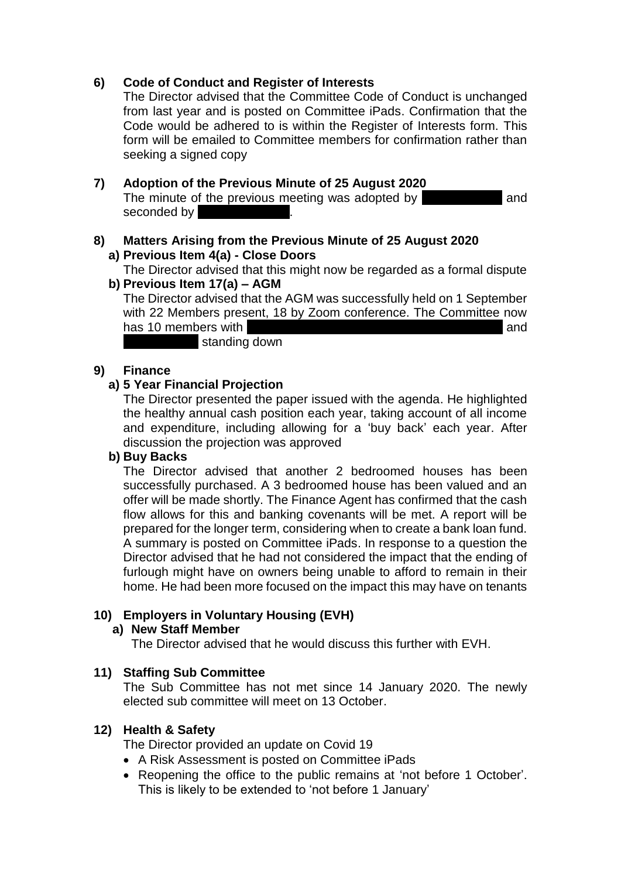# **6) Code of Conduct and Register of Interests**

The Director advised that the Committee Code of Conduct is unchanged from last year and is posted on Committee iPads. Confirmation that the Code would be adhered to is within the Register of Interests form. This form will be emailed to Committee members for confirmation rather than seeking a signed copy

## **7) Adoption of the Previous Minute of 25 August 2020**

The minute of the previous meeting was adopted by **Sangillar and** and seconded by

#### **8) Matters Arising from the Previous Minute of 25 August 2020 a) Previous Item 4(a) - Close Doors**

The Director advised that this might now be regarded as a formal dispute **b) Previous Item 17(a) – AGM**

The Director advised that the AGM was successfully held on 1 September with 22 Members present, 18 by Zoom conference. The Committee now has 10 members with Duffus, Andy Duffus, Andy Duffus, Andy Duffus, Andy Duffus, Lynsey Morgan and standing down

**9) Finance** 

## **a) 5 Year Financial Projection**

The Director presented the paper issued with the agenda. He highlighted the healthy annual cash position each year, taking account of all income and expenditure, including allowing for a 'buy back' each year. After discussion the projection was approved

## **b) Buy Backs**

The Director advised that another 2 bedroomed houses has been successfully purchased. A 3 bedroomed house has been valued and an offer will be made shortly. The Finance Agent has confirmed that the cash flow allows for this and banking covenants will be met. A report will be prepared for the longer term, considering when to create a bank loan fund. A summary is posted on Committee iPads. In response to a question the Director advised that he had not considered the impact that the ending of furlough might have on owners being unable to afford to remain in their home. He had been more focused on the impact this may have on tenants

## **10) Employers in Voluntary Housing (EVH)**

#### **a) New Staff Member**

The Director advised that he would discuss this further with EVH.

## **11) Staffing Sub Committee**

The Sub Committee has not met since 14 January 2020. The newly elected sub committee will meet on 13 October.

## **12) Health & Safety**

The Director provided an update on Covid 19

- A Risk Assessment is posted on Committee iPads
- Reopening the office to the public remains at 'not before 1 October'. This is likely to be extended to 'not before 1 January'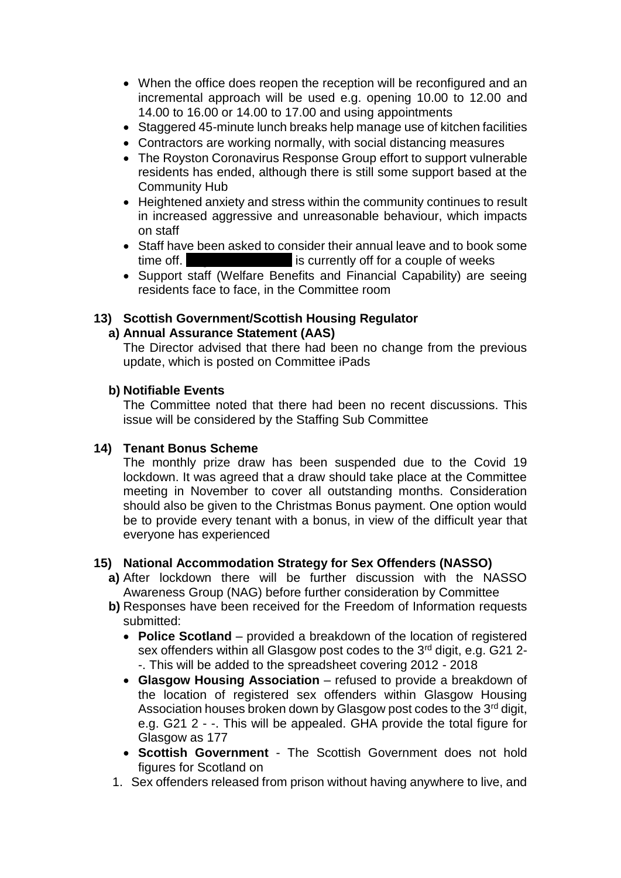- When the office does reopen the reception will be reconfigured and an incremental approach will be used e.g. opening 10.00 to 12.00 and 14.00 to 16.00 or 14.00 to 17.00 and using appointments
- Staggered 45-minute lunch breaks help manage use of kitchen facilities
- Contractors are working normally, with social distancing measures
- The Royston Coronavirus Response Group effort to support vulnerable residents has ended, although there is still some support based at the Community Hub
- Heightened anxiety and stress within the community continues to result in increased aggressive and unreasonable behaviour, which impacts on staff
- Staff have been asked to consider their annual leave and to book some time off. Analysis currently off for a couple of weeks
- Support staff (Welfare Benefits and Financial Capability) are seeing residents face to face, in the Committee room

# **13) Scottish Government/Scottish Housing Regulator**

#### **a) Annual Assurance Statement (AAS)**

The Director advised that there had been no change from the previous update, which is posted on Committee iPads

#### **b) Notifiable Events**

The Committee noted that there had been no recent discussions. This issue will be considered by the Staffing Sub Committee

## **14) Tenant Bonus Scheme**

The monthly prize draw has been suspended due to the Covid 19 lockdown. It was agreed that a draw should take place at the Committee meeting in November to cover all outstanding months. Consideration should also be given to the Christmas Bonus payment. One option would be to provide every tenant with a bonus, in view of the difficult year that everyone has experienced

#### **15) National Accommodation Strategy for Sex Offenders (NASSO)**

- **a)** After lockdown there will be further discussion with the NASSO Awareness Group (NAG) before further consideration by Committee
- **b)** Responses have been received for the Freedom of Information requests submitted:
	- **Police Scotland** provided a breakdown of the location of registered sex offenders within all Glasgow post codes to the 3<sup>rd</sup> digit, e.g. G21 2--. This will be added to the spreadsheet covering 2012 - 2018
	- **Glasgow Housing Association** refused to provide a breakdown of the location of registered sex offenders within Glasgow Housing Association houses broken down by Glasgow post codes to the  $3<sup>rd</sup>$  digit, e.g. G21 2 - -. This will be appealed. GHA provide the total figure for Glasgow as 177
	- **Scottish Government** The Scottish Government does not hold figures for Scotland on
- 1. Sex offenders released from prison without having anywhere to live, and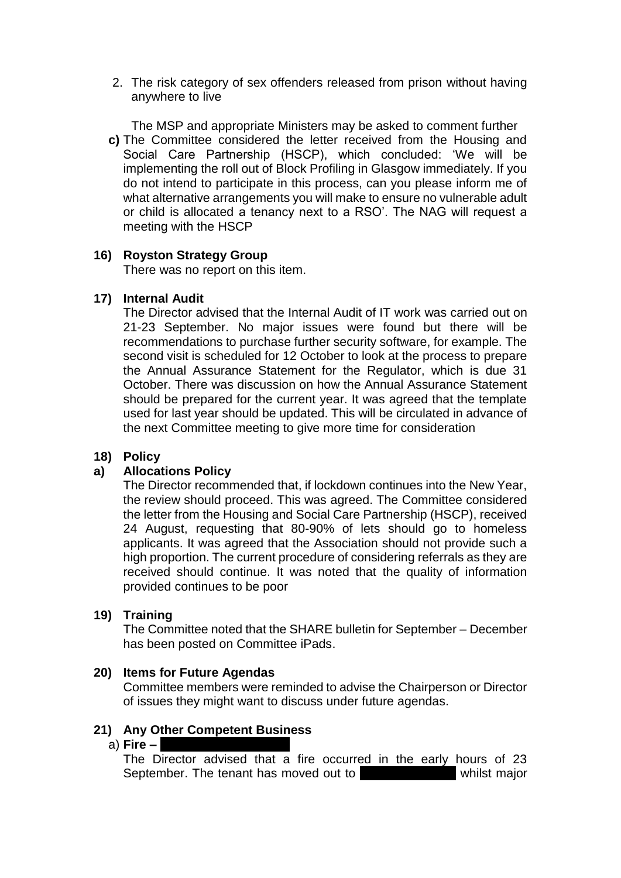2. The risk category of sex offenders released from prison without having anywhere to live

The MSP and appropriate Ministers may be asked to comment further **c)** The Committee considered the letter received from the Housing and Social Care Partnership (HSCP), which concluded: 'We will be implementing the roll out of Block Profiling in Glasgow immediately. If you do not intend to participate in this process, can you please inform me of what alternative arrangements you will make to ensure no vulnerable adult or child is allocated a tenancy next to a RSO'. The NAG will request a meeting with the HSCP

# **16) Royston Strategy Group**

There was no report on this item.

# **17) Internal Audit**

The Director advised that the Internal Audit of IT work was carried out on 21-23 September. No major issues were found but there will be recommendations to purchase further security software, for example. The second visit is scheduled for 12 October to look at the process to prepare the Annual Assurance Statement for the Regulator, which is due 31 October. There was discussion on how the Annual Assurance Statement should be prepared for the current year. It was agreed that the template used for last year should be updated. This will be circulated in advance of the next Committee meeting to give more time for consideration

# **18) Policy**

# **a) Allocations Policy**

The Director recommended that, if lockdown continues into the New Year, the review should proceed. This was agreed. The Committee considered the letter from the Housing and Social Care Partnership (HSCP), received 24 August, requesting that 80-90% of lets should go to homeless applicants. It was agreed that the Association should not provide such a high proportion. The current procedure of considering referrals as they are received should continue. It was noted that the quality of information provided continues to be poor

## **19) Training**

The Committee noted that the SHARE bulletin for September – December has been posted on Committee iPads.

## **20) Items for Future Agendas**

Committee members were reminded to advise the Chairperson or Director of issues they might want to discuss under future agendas.

# **21) Any Other Competent Business**

#### a) **Fire – 25 Sandmill Street 1/1**

The Director advised that a fire occurred in the early hours of 23 September. The tenant has moved out to live whilst major